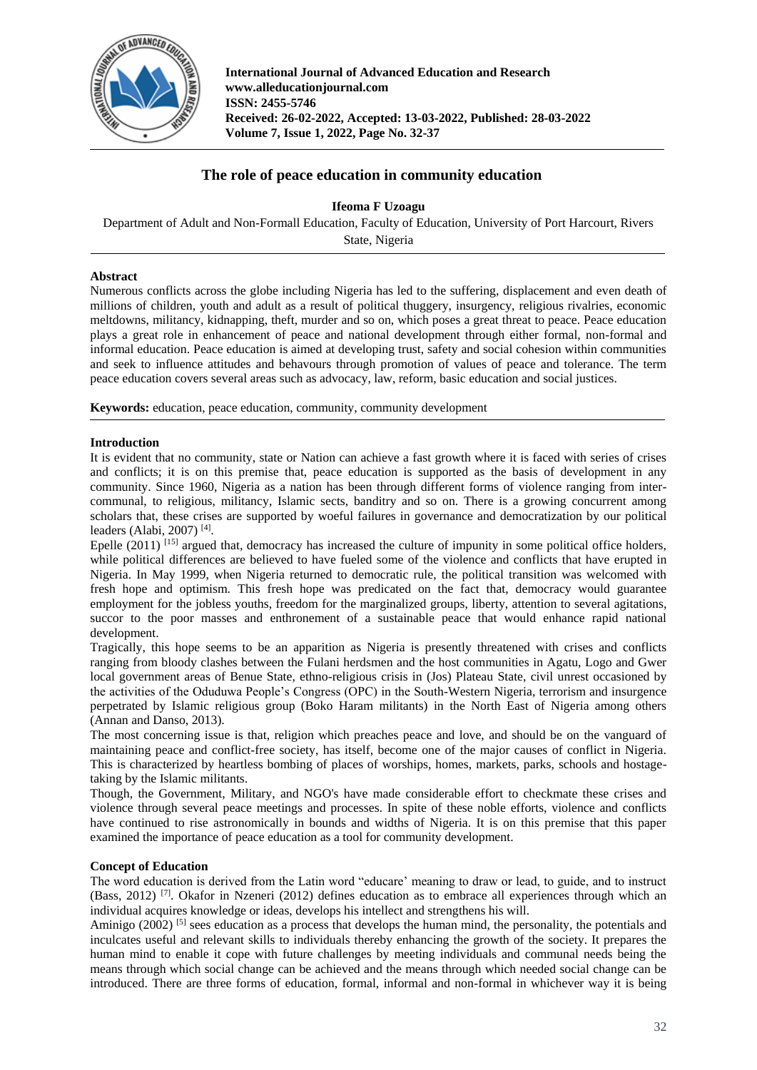

**International Journal of Advanced Education and Research www.alleducationjournal.com ISSN: 2455-5746 Received: 26-02-2022, Accepted: 13-03-2022, Published: 28-03-2022 Volume 7, Issue 1, 2022, Page No. 32-37**

# **The role of peace education in community education**

**Ifeoma F Uzoagu**

Department of Adult and Non-Formall Education, Faculty of Education, University of Port Harcourt, Rivers State, Nigeria

# **Abstract**

Numerous conflicts across the globe including Nigeria has led to the suffering, displacement and even death of millions of children, youth and adult as a result of political thuggery, insurgency, religious rivalries, economic meltdowns, militancy, kidnapping, theft, murder and so on, which poses a great threat to peace. Peace education plays a great role in enhancement of peace and national development through either formal, non-formal and informal education. Peace education is aimed at developing trust, safety and social cohesion within communities and seek to influence attitudes and behavours through promotion of values of peace and tolerance. The term peace education covers several areas such as advocacy, law, reform, basic education and social justices.

**Keywords:** education, peace education, community, community development

# **Introduction**

It is evident that no community, state or Nation can achieve a fast growth where it is faced with series of crises and conflicts; it is on this premise that, peace education is supported as the basis of development in any community. Since 1960, Nigeria as a nation has been through different forms of violence ranging from intercommunal, to religious, militancy, Islamic sects, banditry and so on. There is a growing concurrent among scholars that, these crises are supported by woeful failures in governance and democratization by our political leaders (Alabi, 2007) [4] .

Epelle  $(2011)^{[15]}$  argued that, democracy has increased the culture of impunity in some political office holders, while political differences are believed to have fueled some of the violence and conflicts that have erupted in Nigeria. In May 1999, when Nigeria returned to democratic rule, the political transition was welcomed with fresh hope and optimism. This fresh hope was predicated on the fact that, democracy would guarantee employment for the jobless youths, freedom for the marginalized groups, liberty, attention to several agitations, succor to the poor masses and enthronement of a sustainable peace that would enhance rapid national development.

Tragically, this hope seems to be an apparition as Nigeria is presently threatened with crises and conflicts ranging from bloody clashes between the Fulani herdsmen and the host communities in Agatu, Logo and Gwer local government areas of Benue State, ethno-religious crisis in (Jos) Plateau State, civil unrest occasioned by the activities of the Oduduwa People's Congress (OPC) in the South-Western Nigeria, terrorism and insurgence perpetrated by Islamic religious group (Boko Haram militants) in the North East of Nigeria among others (Annan and Danso, 2013).

The most concerning issue is that, religion which preaches peace and love, and should be on the vanguard of maintaining peace and conflict-free society, has itself, become one of the major causes of conflict in Nigeria. This is characterized by heartless bombing of places of worships, homes, markets, parks, schools and hostagetaking by the Islamic militants.

Though, the Government, Military, and NGO's have made considerable effort to checkmate these crises and violence through several peace meetings and processes. In spite of these noble efforts, violence and conflicts have continued to rise astronomically in bounds and widths of Nigeria. It is on this premise that this paper examined the importance of peace education as a tool for community development.

# **Concept of Education**

The word education is derived from the Latin word "educare' meaning to draw or lead, to guide, and to instruct (Bass, 2012)<sup>[7]</sup>. Okafor in Nzeneri (2012) defines education as to embrace all experiences through which an individual acquires knowledge or ideas, develops his intellect and strengthens his will.

Aminigo (2002)<sup>[5]</sup> sees education as a process that develops the human mind, the personality, the potentials and inculcates useful and relevant skills to individuals thereby enhancing the growth of the society. It prepares the human mind to enable it cope with future challenges by meeting individuals and communal needs being the means through which social change can be achieved and the means through which needed social change can be introduced. There are three forms of education, formal, informal and non-formal in whichever way it is being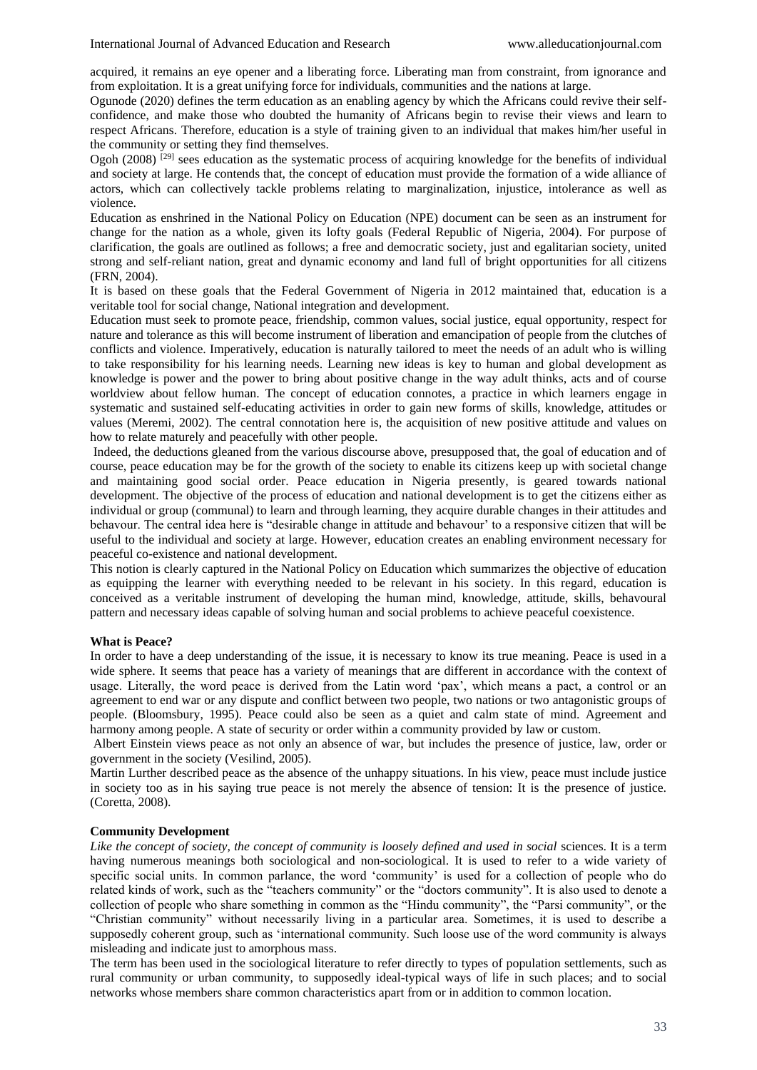acquired, it remains an eye opener and a liberating force. Liberating man from constraint, from ignorance and from exploitation. It is a great unifying force for individuals, communities and the nations at large.

Ogunode (2020) defines the term education as an enabling agency by which the Africans could revive their selfconfidence, and make those who doubted the humanity of Africans begin to revise their views and learn to respect Africans. Therefore, education is a style of training given to an individual that makes him/her useful in the community or setting they find themselves.

Ogoh (2008)  $^{[29]}$  sees education as the systematic process of acquiring knowledge for the benefits of individual and society at large. He contends that, the concept of education must provide the formation of a wide alliance of actors, which can collectively tackle problems relating to marginalization, injustice, intolerance as well as violence.

Education as enshrined in the National Policy on Education (NPE) document can be seen as an instrument for change for the nation as a whole, given its lofty goals (Federal Republic of Nigeria, 2004). For purpose of clarification, the goals are outlined as follows; a free and democratic society, just and egalitarian society, united strong and self-reliant nation, great and dynamic economy and land full of bright opportunities for all citizens (FRN, 2004).

It is based on these goals that the Federal Government of Nigeria in 2012 maintained that, education is a veritable tool for social change, National integration and development.

Education must seek to promote peace, friendship, common values, social justice, equal opportunity, respect for nature and tolerance as this will become instrument of liberation and emancipation of people from the clutches of conflicts and violence. Imperatively, education is naturally tailored to meet the needs of an adult who is willing to take responsibility for his learning needs. Learning new ideas is key to human and global development as knowledge is power and the power to bring about positive change in the way adult thinks, acts and of course worldview about fellow human. The concept of education connotes, a practice in which learners engage in systematic and sustained self-educating activities in order to gain new forms of skills, knowledge, attitudes or values (Meremi, 2002). The central connotation here is, the acquisition of new positive attitude and values on how to relate maturely and peacefully with other people.

Indeed, the deductions gleaned from the various discourse above, presupposed that, the goal of education and of course, peace education may be for the growth of the society to enable its citizens keep up with societal change and maintaining good social order. Peace education in Nigeria presently, is geared towards national development. The objective of the process of education and national development is to get the citizens either as individual or group (communal) to learn and through learning, they acquire durable changes in their attitudes and behavour. The central idea here is "desirable change in attitude and behavour' to a responsive citizen that will be useful to the individual and society at large. However, education creates an enabling environment necessary for peaceful co-existence and national development.

This notion is clearly captured in the National Policy on Education which summarizes the objective of education as equipping the learner with everything needed to be relevant in his society. In this regard, education is conceived as a veritable instrument of developing the human mind, knowledge, attitude, skills, behavoural pattern and necessary ideas capable of solving human and social problems to achieve peaceful coexistence.

#### **What is Peace?**

In order to have a deep understanding of the issue, it is necessary to know its true meaning. Peace is used in a wide sphere. It seems that peace has a variety of meanings that are different in accordance with the context of usage. Literally, the word peace is derived from the Latin word 'pax', which means a pact, a control or an agreement to end war or any dispute and conflict between two people, two nations or two antagonistic groups of people. (Bloomsbury, 1995). Peace could also be seen as a quiet and calm state of mind. Agreement and harmony among people. A state of security or order within a community provided by law or custom.

Albert Einstein views peace as not only an absence of war, but includes the presence of justice, law, order or government in the society (Vesilind, 2005).

Martin Lurther described peace as the absence of the unhappy situations. In his view, peace must include justice in society too as in his saying true peace is not merely the absence of tension: It is the presence of justice. (Coretta, 2008).

## **Community Development**

*Like the concept of society, the concept of community is loosely defined and used in social* sciences. It is a term having numerous meanings both sociological and non-sociological. It is used to refer to a wide variety of specific social units. In common parlance, the word 'community' is used for a collection of people who do related kinds of work, such as the "teachers community" or the "doctors community". It is also used to denote a collection of people who share something in common as the "Hindu community", the "Parsi community", or the "Christian community" without necessarily living in a particular area. Sometimes, it is used to describe a supposedly coherent group, such as 'international community. Such loose use of the word community is always misleading and indicate just to amorphous mass.

The term has been used in the sociological literature to refer directly to types of population settlements, such as rural community or urban community, to supposedly ideal-typical ways of life in such places; and to social networks whose members share common characteristics apart from or in addition to common location.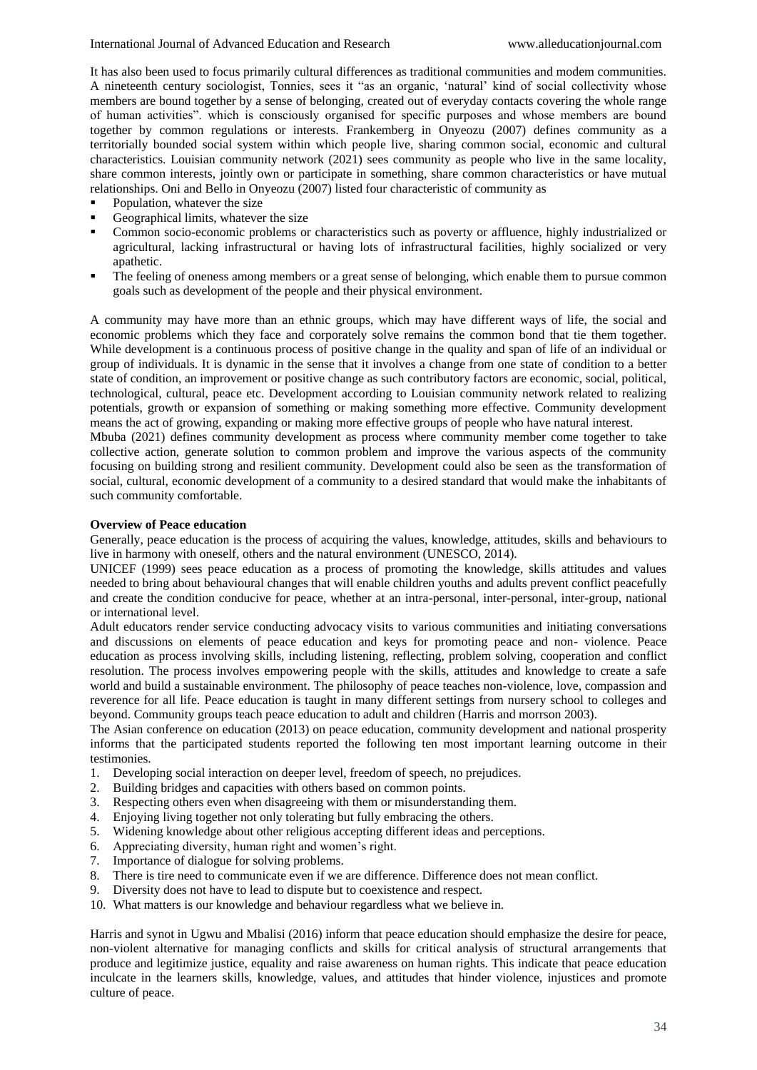It has also been used to focus primarily cultural differences as traditional communities and modem communities. A nineteenth century sociologist, Tonnies, sees it "as an organic, 'natural' kind of social collectivity whose members are bound together by a sense of belonging, created out of everyday contacts covering the whole range of human activities". which is consciously organised for specific purposes and whose members are bound together by common regulations or interests. Frankemberg in Onyeozu (2007) defines community as a territorially bounded social system within which people live, sharing common social, economic and cultural characteristics. Louisian community network (2021) sees community as people who live in the same locality, share common interests, jointly own or participate in something, share common characteristics or have mutual relationships. Oni and Bello in Onyeozu (2007) listed four characteristic of community as

- Population, whatever the size
- Geographical limits, whatever the size
- Common socio-economic problems or characteristics such as poverty or affluence, highly industrialized or agricultural, lacking infrastructural or having lots of infrastructural facilities, highly socialized or very apathetic.
- The feeling of oneness among members or a great sense of belonging, which enable them to pursue common goals such as development of the people and their physical environment.

A community may have more than an ethnic groups, which may have different ways of life, the social and economic problems which they face and corporately solve remains the common bond that tie them together. While development is a continuous process of positive change in the quality and span of life of an individual or group of individuals. It is dynamic in the sense that it involves a change from one state of condition to a better state of condition, an improvement or positive change as such contributory factors are economic, social, political, technological, cultural, peace etc. Development according to Louisian community network related to realizing potentials, growth or expansion of something or making something more effective. Community development means the act of growing, expanding or making more effective groups of people who have natural interest.

Mbuba (2021) defines community development as process where community member come together to take collective action, generate solution to common problem and improve the various aspects of the community focusing on building strong and resilient community. Development could also be seen as the transformation of social, cultural, economic development of a community to a desired standard that would make the inhabitants of such community comfortable.

### **Overview of Peace education**

Generally, peace education is the process of acquiring the values, knowledge, attitudes, skills and behaviours to live in harmony with oneself, others and the natural environment (UNESCO, 2014).

UNICEF (1999) sees peace education as a process of promoting the knowledge, skills attitudes and values needed to bring about behavioural changes that will enable children youths and adults prevent conflict peacefully and create the condition conducive for peace, whether at an intra-personal, inter-personal, inter-group, national or international level.

Adult educators render service conducting advocacy visits to various communities and initiating conversations and discussions on elements of peace education and keys for promoting peace and non- violence. Peace education as process involving skills, including listening, reflecting, problem solving, cooperation and conflict resolution. The process involves empowering people with the skills, attitudes and knowledge to create a safe world and build a sustainable environment. The philosophy of peace teaches non-violence, love, compassion and reverence for all life. Peace education is taught in many different settings from nursery school to colleges and beyond. Community groups teach peace education to adult and children (Harris and morrson 2003).

The Asian conference on education (2013) on peace education, community development and national prosperity informs that the participated students reported the following ten most important learning outcome in their testimonies.

- 1. Developing social interaction on deeper level, freedom of speech, no prejudices.
- 2. Building bridges and capacities with others based on common points.
- 3. Respecting others even when disagreeing with them or misunderstanding them.
- 4. Enjoying living together not only tolerating but fully embracing the others.
- 5. Widening knowledge about other religious accepting different ideas and perceptions.
- 6. Appreciating diversity, human right and women's right.
- 7. Importance of dialogue for solving problems.
- 8. There is tire need to communicate even if we are difference. Difference does not mean conflict.
- 9. Diversity does not have to lead to dispute but to coexistence and respect.
- 10. What matters is our knowledge and behaviour regardless what we believe in.

Harris and synot in Ugwu and Mbalisi (2016) inform that peace education should emphasize the desire for peace, non-violent alternative for managing conflicts and skills for critical analysis of structural arrangements that produce and legitimize justice, equality and raise awareness on human rights. This indicate that peace education inculcate in the learners skills, knowledge, values, and attitudes that hinder violence, injustices and promote culture of peace.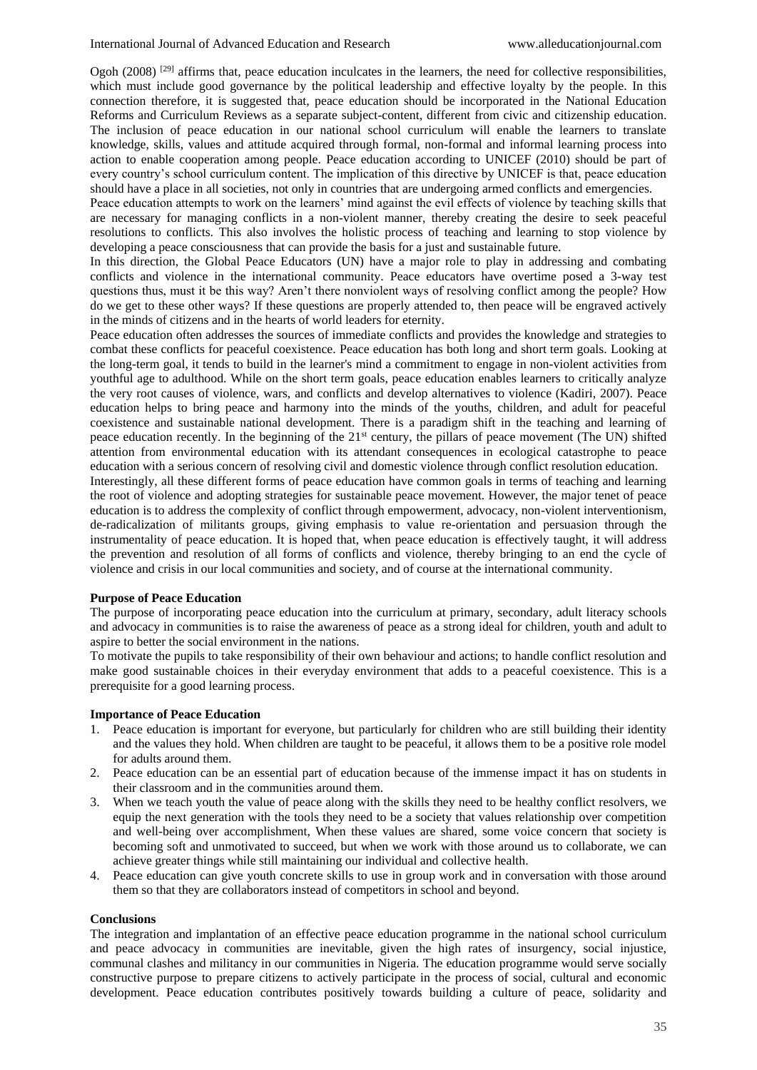Ogoh  $(2008)$  <sup>[29]</sup> affirms that, peace education inculcates in the learners, the need for collective responsibilities, which must include good governance by the political leadership and effective loyalty by the people. In this connection therefore, it is suggested that, peace education should be incorporated in the National Education Reforms and Curriculum Reviews as a separate subject-content, different from civic and citizenship education. The inclusion of peace education in our national school curriculum will enable the learners to translate knowledge, skills, values and attitude acquired through formal, non-formal and informal learning process into action to enable cooperation among people. Peace education according to UNICEF (2010) should be part of every country's school curriculum content. The implication of this directive by UNICEF is that, peace education should have a place in all societies, not only in countries that are undergoing armed conflicts and emergencies.

Peace education attempts to work on the learners' mind against the evil effects of violence by teaching skills that are necessary for managing conflicts in a non-violent manner, thereby creating the desire to seek peaceful resolutions to conflicts. This also involves the holistic process of teaching and learning to stop violence by developing a peace consciousness that can provide the basis for a just and sustainable future.

In this direction, the Global Peace Educators (UN) have a major role to play in addressing and combating conflicts and violence in the international community. Peace educators have overtime posed a 3-way test questions thus, must it be this way? Aren't there nonviolent ways of resolving conflict among the people? How do we get to these other ways? If these questions are properly attended to, then peace will be engraved actively in the minds of citizens and in the hearts of world leaders for eternity.

Peace education often addresses the sources of immediate conflicts and provides the knowledge and strategies to combat these conflicts for peaceful coexistence. Peace education has both long and short term goals. Looking at the long-term goal, it tends to build in the learner's mind a commitment to engage in non-violent activities from youthful age to adulthood. While on the short term goals, peace education enables learners to critically analyze the very root causes of violence, wars, and conflicts and develop alternatives to violence (Kadiri, 2007). Peace education helps to bring peace and harmony into the minds of the youths, children, and adult for peaceful coexistence and sustainable national development. There is a paradigm shift in the teaching and learning of peace education recently. In the beginning of the 21st century, the pillars of peace movement (The UN) shifted attention from environmental education with its attendant consequences in ecological catastrophe to peace education with a serious concern of resolving civil and domestic violence through conflict resolution education.

Interestingly, all these different forms of peace education have common goals in terms of teaching and learning the root of violence and adopting strategies for sustainable peace movement. However, the major tenet of peace education is to address the complexity of conflict through empowerment, advocacy, non-violent interventionism, de-radicalization of militants groups, giving emphasis to value re-orientation and persuasion through the instrumentality of peace education. It is hoped that, when peace education is effectively taught, it will address the prevention and resolution of all forms of conflicts and violence, thereby bringing to an end the cycle of violence and crisis in our local communities and society, and of course at the international community.

#### **Purpose of Peace Education**

The purpose of incorporating peace education into the curriculum at primary, secondary, adult literacy schools and advocacy in communities is to raise the awareness of peace as a strong ideal for children, youth and adult to aspire to better the social environment in the nations.

To motivate the pupils to take responsibility of their own behaviour and actions; to handle conflict resolution and make good sustainable choices in their everyday environment that adds to a peaceful coexistence. This is a prerequisite for a good learning process.

### **Importance of Peace Education**

- 1. Peace education is important for everyone, but particularly for children who are still building their identity and the values they hold. When children are taught to be peaceful, it allows them to be a positive role model for adults around them.
- 2. Peace education can be an essential part of education because of the immense impact it has on students in their classroom and in the communities around them.
- 3. When we teach youth the value of peace along with the skills they need to be healthy conflict resolvers, we equip the next generation with the tools they need to be a society that values relationship over competition and well-being over accomplishment, When these values are shared, some voice concern that society is becoming soft and unmotivated to succeed, but when we work with those around us to collaborate, we can achieve greater things while still maintaining our individual and collective health.
- 4. Peace education can give youth concrete skills to use in group work and in conversation with those around them so that they are collaborators instead of competitors in school and beyond.

#### **Conclusions**

The integration and implantation of an effective peace education programme in the national school curriculum and peace advocacy in communities are inevitable, given the high rates of insurgency, social injustice, communal clashes and militancy in our communities in Nigeria. The education programme would serve socially constructive purpose to prepare citizens to actively participate in the process of social, cultural and economic development. Peace education contributes positively towards building a culture of peace, solidarity and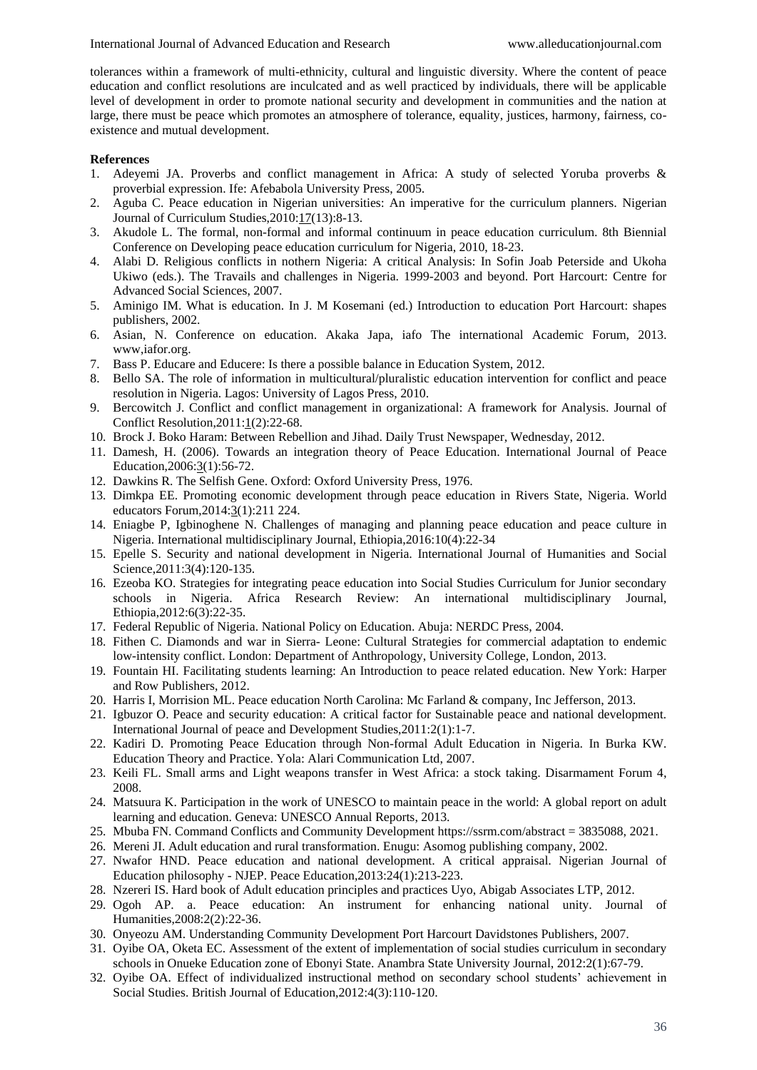tolerances within a framework of multi-ethnicity, cultural and linguistic diversity. Where the content of peace education and conflict resolutions are inculcated and as well practiced by individuals, there will be applicable level of development in order to promote national security and development in communities and the nation at large, there must be peace which promotes an atmosphere of tolerance, equality, justices, harmony, fairness, coexistence and mutual development.

### **References**

- 1. Adeyemi JA. Proverbs and conflict management in Africa: A study of selected Yoruba proverbs & proverbial expression. Ife: Afebabola University Press, 2005.
- 2. Aguba C. Peace education in Nigerian universities: An imperative for the curriculum planners. Nigerian Journal of Curriculum Studies,2010:17(13):8-13.
- 3. Akudole L. The formal, non-formal and informal continuum in peace education curriculum. 8th Biennial Conference on Developing peace education curriculum for Nigeria, 2010, 18-23.
- 4. Alabi D. Religious conflicts in nothern Nigeria: A critical Analysis: In Sofin Joab Peterside and Ukoha Ukiwo (eds.). The Travails and challenges in Nigeria. 1999-2003 and beyond. Port Harcourt: Centre for Advanced Social Sciences, 2007.
- 5. Aminigo IM. What is education. In J. M Kosemani (ed.) Introduction to education Port Harcourt: shapes publishers, 2002.
- 6. Asian, N. Conference on education. Akaka Japa, iafo The international Academic Forum, 2013. www,iafor.org.
- 7. Bass P. Educare and Educere: Is there a possible balance in Education System, 2012.
- 8. Bello SA. The role of information in multicultural/pluralistic education intervention for conflict and peace resolution in Nigeria. Lagos: University of Lagos Press, 2010.
- 9. Bercowitch J. Conflict and conflict management in organizational: A framework for Analysis. Journal of Conflict Resolution, 2011: 1(2): 22-68.
- 10. Brock J. Boko Haram: Between Rebellion and Jihad. Daily Trust Newspaper, Wednesday, 2012.
- 11. Damesh, H. (2006). Towards an integration theory of Peace Education. International Journal of Peace Education,2006:3(1):56-72.
- 12. Dawkins R. The Selfish Gene. Oxford: Oxford University Press, 1976.
- 13. Dimkpa EE. Promoting economic development through peace education in Rivers State, Nigeria. World educators Forum,2014:3(1):211 224.
- 14. Eniagbe P, Igbinoghene N. Challenges of managing and planning peace education and peace culture in Nigeria. International multidisciplinary Journal, Ethiopia,2016:10(4):22-34
- 15. Epelle S. Security and national development in Nigeria. International Journal of Humanities and Social Science,2011:3(4):120-135.
- 16. Ezeoba KO. Strategies for integrating peace education into Social Studies Curriculum for Junior secondary schools in Nigeria. Africa Research Review: An international multidisciplinary Journal, Ethiopia,2012:6(3):22-35.
- 17. Federal Republic of Nigeria. National Policy on Education. Abuja: NERDC Press, 2004.
- 18. Fithen C. Diamonds and war in Sierra- Leone: Cultural Strategies for commercial adaptation to endemic low-intensity conflict. London: Department of Anthropology, University College, London, 2013.
- 19. Fountain HI. Facilitating students learning: An Introduction to peace related education. New York: Harper and Row Publishers, 2012.
- 20. Harris I, Morrision ML. Peace education North Carolina: Mc Farland & company, Inc Jefferson, 2013.
- 21. Igbuzor O. Peace and security education: A critical factor for Sustainable peace and national development. International Journal of peace and Development Studies,2011:2(1):1-7.
- 22. Kadiri D. Promoting Peace Education through Non-formal Adult Education in Nigeria. In Burka KW. Education Theory and Practice. Yola: Alari Communication Ltd, 2007.
- 23. Keili FL. Small arms and Light weapons transfer in West Africa: a stock taking. Disarmament Forum 4, 2008.
- 24. Matsuura K. Participation in the work of UNESCO to maintain peace in the world: A global report on adult learning and education. Geneva: UNESCO Annual Reports, 2013.
- 25. Mbuba FN. Command Conflicts and Community Development https://ssrm.com/abstract = 3835088, 2021.
- 26. Mereni JI. Adult education and rural transformation. Enugu: Asomog publishing company, 2002.
- 27. Nwafor HND. Peace education and national development. A critical appraisal. Nigerian Journal of Education philosophy - NJEP. Peace Education,2013:24(1):213-223.
- 28. Nzereri IS. Hard book of Adult education principles and practices Uyo, Abigab Associates LTP, 2012.
- 29. Ogoh AP. a. Peace education: An instrument for enhancing national unity. Journal of Humanities,2008:2(2):22-36.
- 30. Onyeozu AM. Understanding Community Development Port Harcourt Davidstones Publishers, 2007.
- 31. Oyibe OA, Oketa EC. Assessment of the extent of implementation of social studies curriculum in secondary schools in Onueke Education zone of Ebonyi State. Anambra State University Journal, 2012:2(1):67-79.
- 32. Oyibe OA. Effect of individualized instructional method on secondary school students' achievement in Social Studies. British Journal of Education,2012:4(3):110-120.